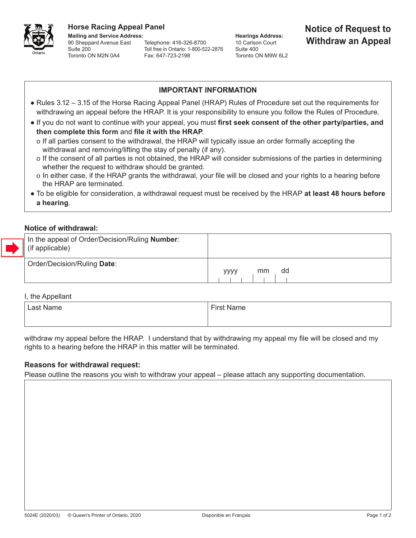

90 Sheppard Avenue East Suite 200 Toronto ON M2N 0A4 Fax: 647-723-2198

Telephone: 416-326-8700 Toll free in Ontario: 1-800-522-2876

**Hearings Address:** 10 Carlson Court Suite 400 Toronto ON M9W 6L2

# **Horse Racing Appeal Panel**<br>
Mailing and Service Address: **Notice of Request to**<br> **Hearings Address: Notice of Request to Withdraw an Appeal**

# **IMPORTANT INFORMATION**

- Rules 3.12 3.15 of the Horse Racing Appeal Panel (HRAP) Rules of Procedure set out the requirements for withdrawing an appeal before the HRAP. It is your responsibility to ensure you follow the Rules of Procedure.
- If you do not want to continue with your appeal, you must **first seek consent of the other party/parties, and then complete this form** and **file it with the HRAP**.
	- o If all parties consent to the withdrawal, the HRAP will typically issue an order formally accepting the withdrawal and removing/lifting the stay of penalty (if any).
	- o If the consent of all parties is not obtained, the HRAP will consider submissions of the parties in determining whether the request to withdraw should be granted.
	- o In either case, if the HRAP grants the withdrawal, your file will be closed and your rights to a hearing before the HRAP are terminated.
- To be eligible for consideration, a withdrawal request must be received by the HRAP **at least 48 hours before a hearing**.

# **Notice of withdrawal:**

| In the appeal of Order/Decision/Ruling <b>Number</b> :<br>$\parallel$ (if applicable) |                  |
|---------------------------------------------------------------------------------------|------------------|
| Order/Decision/Ruling Date:                                                           | dd<br>mm<br>уууу |

### I, the Appellant

| Last Name | $\mathsf{c}_{\mathsf{irsu}}$<br>√ame |
|-----------|--------------------------------------|
|           |                                      |

withdraw my appeal before the HRAP. I understand that by withdrawing my appeal my file will be closed and my rights to a hearing before the HRAP in this matter will be terminated.

# **Reasons for withdrawal request:**

Please outline the reasons you wish to withdraw your appeal – please attach any supporting documentation.